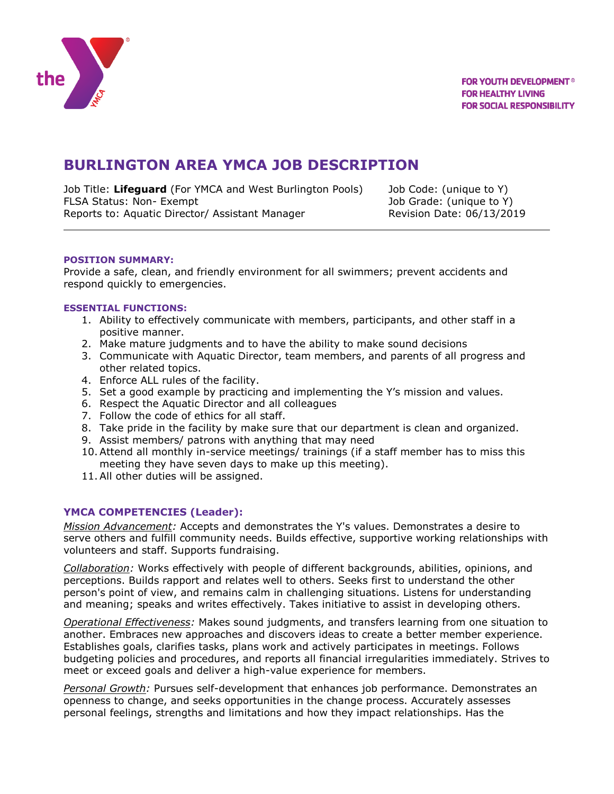

# **BURLINGTON AREA YMCA JOB DESCRIPTION**

Job Title: **Lifeguard** (For YMCA and West Burlington Pools) Job Code: (unique to Y) FLSA Status: Non- Exempt The Contract Contract Contract Contract Contract Job Grade: (unique to Y) Reports to: Aquatic Director/ Assistant Manager Revision Date: 06/13/2019

### **POSITION SUMMARY:**

Provide a safe, clean, and friendly environment for all swimmers; prevent accidents and respond quickly to emergencies.

### **ESSENTIAL FUNCTIONS:**

- 1. Ability to effectively communicate with members, participants, and other staff in a positive manner.
- 2. Make mature judgments and to have the ability to make sound decisions
- 3. Communicate with Aquatic Director, team members, and parents of all progress and other related topics.
- 4. Enforce ALL rules of the facility.
- 5. Set a good example by practicing and implementing the Y's mission and values.
- 6. Respect the Aquatic Director and all colleagues
- 7. Follow the code of ethics for all staff.
- 8. Take pride in the facility by make sure that our department is clean and organized.
- 9. Assist members/ patrons with anything that may need
- 10.Attend all monthly in-service meetings/ trainings (if a staff member has to miss this meeting they have seven days to make up this meeting).
- 11.All other duties will be assigned.

# **YMCA COMPETENCIES (Leader):**

*Mission Advancement:* Accepts and demonstrates the Y's values. Demonstrates a desire to serve others and fulfill community needs. Builds effective, supportive working relationships with volunteers and staff. Supports fundraising.

*Collaboration:* Works effectively with people of different backgrounds, abilities, opinions, and perceptions. Builds rapport and relates well to others. Seeks first to understand the other person's point of view, and remains calm in challenging situations. Listens for understanding and meaning; speaks and writes effectively. Takes initiative to assist in developing others.

*Operational Effectiveness:* Makes sound judgments, and transfers learning from one situation to another. Embraces new approaches and discovers ideas to create a better member experience. Establishes goals, clarifies tasks, plans work and actively participates in meetings. Follows budgeting policies and procedures, and reports all financial irregularities immediately. Strives to meet or exceed goals and deliver a high-value experience for members.

*Personal Growth:* Pursues self-development that enhances job performance. Demonstrates an openness to change, and seeks opportunities in the change process. Accurately assesses personal feelings, strengths and limitations and how they impact relationships. Has the